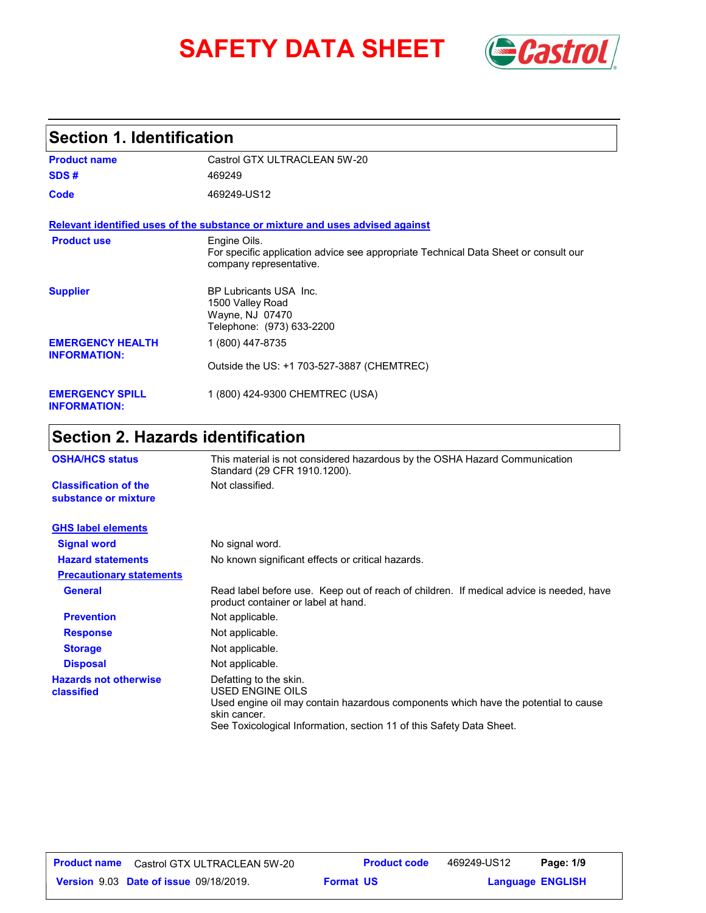# **SAFETY DATA SHEET** *Castrol*



### **Section 1. Identification**

| <b>Product name</b>                            | Castrol GTX ULTRACLEAN 5W-20                                                                                                   |  |
|------------------------------------------------|--------------------------------------------------------------------------------------------------------------------------------|--|
| SDS#                                           | 469249                                                                                                                         |  |
| Code                                           | 469249-US12                                                                                                                    |  |
|                                                | Relevant identified uses of the substance or mixture and uses advised against                                                  |  |
| <b>Product use</b>                             | Engine Oils.<br>For specific application advice see appropriate Technical Data Sheet or consult our<br>company representative. |  |
| <b>Supplier</b>                                | BP Lubricants USA Inc.<br>1500 Valley Road<br>Wayne, NJ 07470<br>Telephone: (973) 633-2200                                     |  |
| <b>EMERGENCY HEALTH</b><br><b>INFORMATION:</b> | 1 (800) 447-8735                                                                                                               |  |
|                                                | Outside the US: +1 703-527-3887 (CHEMTREC)                                                                                     |  |
| <b>EMERGENCY SPILL</b><br><b>INFORMATION:</b>  | 1 (800) 424-9300 CHEMTREC (USA)                                                                                                |  |

### **Section 2. Hazards identification**

| <b>OSHA/HCS status</b>                               | This material is not considered hazardous by the OSHA Hazard Communication<br>Standard (29 CFR 1910.1200).                                                                                                               |  |
|------------------------------------------------------|--------------------------------------------------------------------------------------------------------------------------------------------------------------------------------------------------------------------------|--|
| <b>Classification of the</b><br>substance or mixture | Not classified.                                                                                                                                                                                                          |  |
| <b>GHS label elements</b>                            |                                                                                                                                                                                                                          |  |
| <b>Signal word</b>                                   | No signal word.                                                                                                                                                                                                          |  |
| <b>Hazard statements</b>                             | No known significant effects or critical hazards.                                                                                                                                                                        |  |
| <b>Precautionary statements</b>                      |                                                                                                                                                                                                                          |  |
| <b>General</b>                                       | Read label before use. Keep out of reach of children. If medical advice is needed, have<br>product container or label at hand.                                                                                           |  |
| <b>Prevention</b>                                    | Not applicable.                                                                                                                                                                                                          |  |
| <b>Response</b>                                      | Not applicable.                                                                                                                                                                                                          |  |
| <b>Storage</b>                                       | Not applicable.                                                                                                                                                                                                          |  |
| <b>Disposal</b>                                      | Not applicable.                                                                                                                                                                                                          |  |
| <b>Hazards not otherwise</b><br>classified           | Defatting to the skin.<br>USED ENGINE OILS<br>Used engine oil may contain hazardous components which have the potential to cause<br>skin cancer.<br>See Toxicological Information, section 11 of this Safety Data Sheet. |  |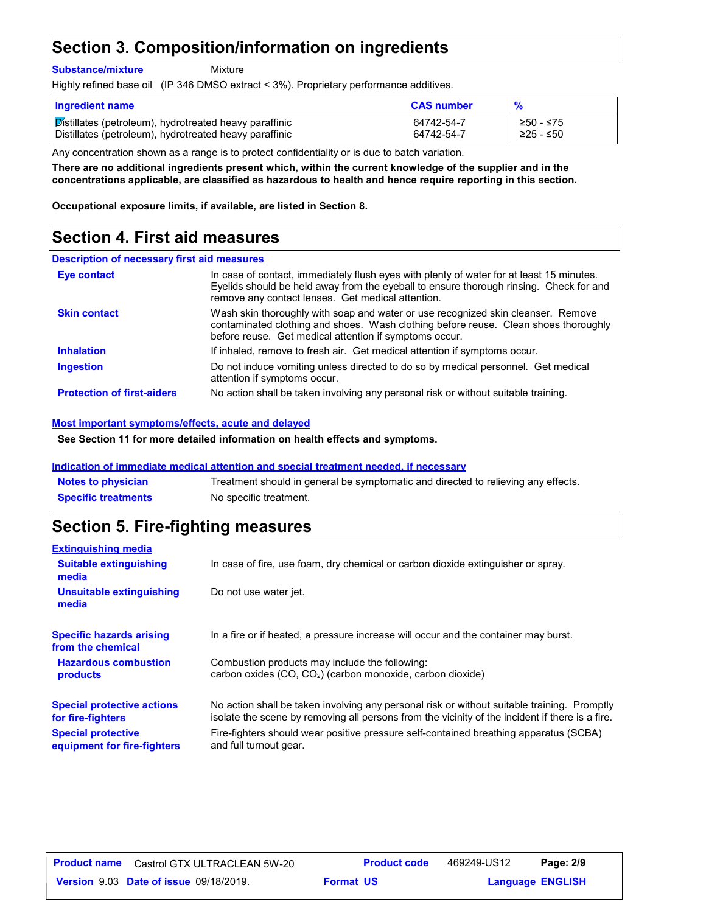### **Section 3. Composition/information on ingredients**

**Substance/mixture**

Mixture

Highly refined base oil (IP 346 DMSO extract < 3%). Proprietary performance additives.

| <b>Ingredient name</b>                                 | <b>CAS number</b> | $\frac{9}{6}$ |
|--------------------------------------------------------|-------------------|---------------|
| Distillates (petroleum), hydrotreated heavy paraffinic | 64742-54-7        | ≥50 - ≤75     |
| Distillates (petroleum), hydrotreated heavy paraffinic | 64742-54-7        | ≥25 - ≤50     |

Any concentration shown as a range is to protect confidentiality or is due to batch variation.

**There are no additional ingredients present which, within the current knowledge of the supplier and in the concentrations applicable, are classified as hazardous to health and hence require reporting in this section.**

**Occupational exposure limits, if available, are listed in Section 8.**

#### **Section 4. First aid measures**

#### **Description of necessary first aid measures**

| Eye contact                       | In case of contact, immediately flush eyes with plenty of water for at least 15 minutes.<br>Eyelids should be held away from the eyeball to ensure thorough rinsing. Check for and<br>remove any contact lenses. Get medical attention. |
|-----------------------------------|-----------------------------------------------------------------------------------------------------------------------------------------------------------------------------------------------------------------------------------------|
| <b>Skin contact</b>               | Wash skin thoroughly with soap and water or use recognized skin cleanser. Remove<br>contaminated clothing and shoes. Wash clothing before reuse. Clean shoes thoroughly<br>before reuse. Get medical attention if symptoms occur.       |
| <b>Inhalation</b>                 | If inhaled, remove to fresh air. Get medical attention if symptoms occur.                                                                                                                                                               |
| <b>Ingestion</b>                  | Do not induce vomiting unless directed to do so by medical personnel. Get medical<br>attention if symptoms occur.                                                                                                                       |
| <b>Protection of first-aiders</b> | No action shall be taken involving any personal risk or without suitable training.                                                                                                                                                      |

#### **Most important symptoms/effects, acute and delayed**

**See Section 11 for more detailed information on health effects and symptoms.**

#### **Indication of immediate medical attention and special treatment needed, if necessary**

| <b>Notes to physician</b>  | Treatment should in general be symptomatic and directed to relieving any effects. |
|----------------------------|-----------------------------------------------------------------------------------|
| <b>Specific treatments</b> | No specific treatment.                                                            |

#### **Section 5. Fire-fighting measures**

| <b>Extinguishing media</b>                               |                                                                                                                                                                                                |
|----------------------------------------------------------|------------------------------------------------------------------------------------------------------------------------------------------------------------------------------------------------|
| <b>Suitable extinguishing</b><br>media                   | In case of fire, use foam, dry chemical or carbon dioxide extinguisher or spray.                                                                                                               |
| Unsuitable extinguishing<br>media                        | Do not use water jet.                                                                                                                                                                          |
| <b>Specific hazards arising</b><br>from the chemical     | In a fire or if heated, a pressure increase will occur and the container may burst.                                                                                                            |
| <b>Hazardous combustion</b><br>products                  | Combustion products may include the following:<br>carbon oxides (CO, CO <sub>2</sub> ) (carbon monoxide, carbon dioxide)                                                                       |
| <b>Special protective actions</b><br>for fire-fighters   | No action shall be taken involving any personal risk or without suitable training. Promptly<br>isolate the scene by removing all persons from the vicinity of the incident if there is a fire. |
| <b>Special protective</b><br>equipment for fire-fighters | Fire-fighters should wear positive pressure self-contained breathing apparatus (SCBA)<br>and full turnout gear.                                                                                |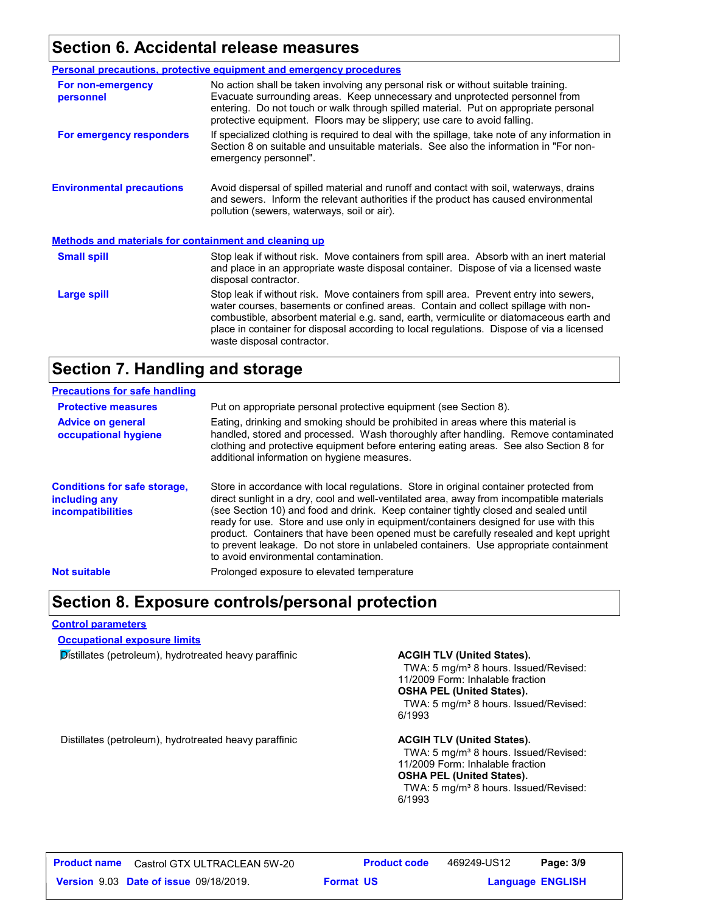#### **Section 6. Accidental release measures**

|                                                              | Personal precautions, protective equipment and emergency procedures                                                                                                                                                                                                                                                                                                                                |  |
|--------------------------------------------------------------|----------------------------------------------------------------------------------------------------------------------------------------------------------------------------------------------------------------------------------------------------------------------------------------------------------------------------------------------------------------------------------------------------|--|
| For non-emergency<br>personnel                               | No action shall be taken involving any personal risk or without suitable training.<br>Evacuate surrounding areas. Keep unnecessary and unprotected personnel from<br>entering. Do not touch or walk through spilled material. Put on appropriate personal<br>protective equipment. Floors may be slippery; use care to avoid falling.                                                              |  |
| For emergency responders                                     | If specialized clothing is required to deal with the spillage, take note of any information in<br>Section 8 on suitable and unsuitable materials. See also the information in "For non-<br>emergency personnel".                                                                                                                                                                                   |  |
| <b>Environmental precautions</b>                             | Avoid dispersal of spilled material and runoff and contact with soil, waterways, drains<br>and sewers. Inform the relevant authorities if the product has caused environmental<br>pollution (sewers, waterways, soil or air).                                                                                                                                                                      |  |
| <b>Methods and materials for containment and cleaning up</b> |                                                                                                                                                                                                                                                                                                                                                                                                    |  |
| <b>Small spill</b>                                           | Stop leak if without risk. Move containers from spill area. Absorb with an inert material<br>and place in an appropriate waste disposal container. Dispose of via a licensed waste<br>disposal contractor.                                                                                                                                                                                         |  |
| Large spill                                                  | Stop leak if without risk. Move containers from spill area. Prevent entry into sewers,<br>water courses, basements or confined areas. Contain and collect spillage with non-<br>combustible, absorbent material e.g. sand, earth, vermiculite or diatomaceous earth and<br>place in container for disposal according to local regulations. Dispose of via a licensed<br>waste disposal contractor. |  |

### **Section 7. Handling and storage**

| <b>Precautions for safe handling</b>                                             |                                                                                                                                                                                                                                                                                                                                                                                                                                                                                                                                                                                               |
|----------------------------------------------------------------------------------|-----------------------------------------------------------------------------------------------------------------------------------------------------------------------------------------------------------------------------------------------------------------------------------------------------------------------------------------------------------------------------------------------------------------------------------------------------------------------------------------------------------------------------------------------------------------------------------------------|
| <b>Protective measures</b>                                                       | Put on appropriate personal protective equipment (see Section 8).                                                                                                                                                                                                                                                                                                                                                                                                                                                                                                                             |
| <b>Advice on general</b><br>occupational hygiene                                 | Eating, drinking and smoking should be prohibited in areas where this material is<br>handled, stored and processed. Wash thoroughly after handling. Remove contaminated<br>clothing and protective equipment before entering eating areas. See also Section 8 for<br>additional information on hygiene measures.                                                                                                                                                                                                                                                                              |
| <b>Conditions for safe storage,</b><br>including any<br><i>incompatibilities</i> | Store in accordance with local regulations. Store in original container protected from<br>direct sunlight in a dry, cool and well-ventilated area, away from incompatible materials<br>(see Section 10) and food and drink. Keep container tightly closed and sealed until<br>ready for use. Store and use only in equipment/containers designed for use with this<br>product. Containers that have been opened must be carefully resealed and kept upright<br>to prevent leakage. Do not store in unlabeled containers. Use appropriate containment<br>to avoid environmental contamination. |
| <b>Not suitable</b>                                                              | Prolonged exposure to elevated temperature                                                                                                                                                                                                                                                                                                                                                                                                                                                                                                                                                    |

#### **Section 8. Exposure controls/personal protection**

#### **Control parameters**

#### **Occupational exposure limits**

**Distillates (petroleum), hydrotreated heavy paraffinic <b>ACGIH TLV (United States).** 

TWA: 5 mg/m<sup>3</sup> 8 hours. Issued/Revised: 11/2009 Form: Inhalable fraction **OSHA PEL (United States).** TWA: 5 mg/m<sup>3</sup> 8 hours. Issued/Revised: 6/1993

Distillates (petroleum), hydrotreated heavy paraffinic **ACGIH TLV (United States).**

TWA: 5 mg/m<sup>3</sup> 8 hours. Issued/Revised: 11/2009 Form: Inhalable fraction **OSHA PEL (United States).** TWA: 5 mg/m<sup>3</sup> 8 hours. Issued/Revised: 6/1993

**Format US**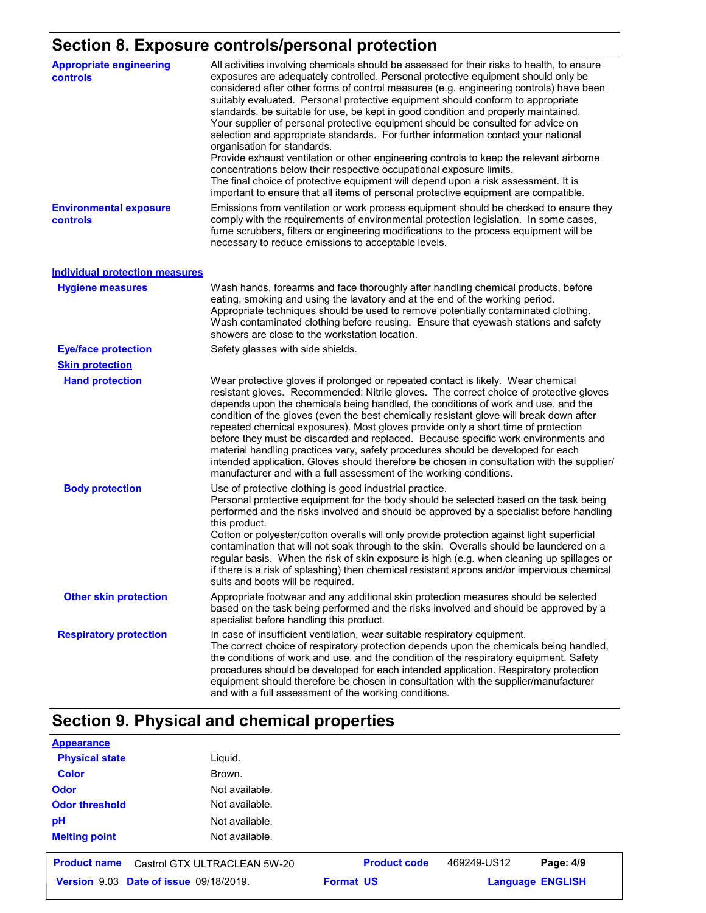### **Section 8. Exposure controls/personal protection**

| <b>Appropriate engineering</b><br><b>controls</b> | All activities involving chemicals should be assessed for their risks to health, to ensure<br>exposures are adequately controlled. Personal protective equipment should only be<br>considered after other forms of control measures (e.g. engineering controls) have been<br>suitably evaluated. Personal protective equipment should conform to appropriate<br>standards, be suitable for use, be kept in good condition and properly maintained.<br>Your supplier of personal protective equipment should be consulted for advice on<br>selection and appropriate standards. For further information contact your national<br>organisation for standards.<br>Provide exhaust ventilation or other engineering controls to keep the relevant airborne<br>concentrations below their respective occupational exposure limits.<br>The final choice of protective equipment will depend upon a risk assessment. It is<br>important to ensure that all items of personal protective equipment are compatible. |
|---------------------------------------------------|------------------------------------------------------------------------------------------------------------------------------------------------------------------------------------------------------------------------------------------------------------------------------------------------------------------------------------------------------------------------------------------------------------------------------------------------------------------------------------------------------------------------------------------------------------------------------------------------------------------------------------------------------------------------------------------------------------------------------------------------------------------------------------------------------------------------------------------------------------------------------------------------------------------------------------------------------------------------------------------------------------|
| <b>Environmental exposure</b><br>controls         | Emissions from ventilation or work process equipment should be checked to ensure they<br>comply with the requirements of environmental protection legislation. In some cases,<br>fume scrubbers, filters or engineering modifications to the process equipment will be<br>necessary to reduce emissions to acceptable levels.                                                                                                                                                                                                                                                                                                                                                                                                                                                                                                                                                                                                                                                                              |
| <b>Individual protection measures</b>             |                                                                                                                                                                                                                                                                                                                                                                                                                                                                                                                                                                                                                                                                                                                                                                                                                                                                                                                                                                                                            |
| <b>Hygiene measures</b>                           | Wash hands, forearms and face thoroughly after handling chemical products, before<br>eating, smoking and using the lavatory and at the end of the working period.<br>Appropriate techniques should be used to remove potentially contaminated clothing.<br>Wash contaminated clothing before reusing. Ensure that eyewash stations and safety<br>showers are close to the workstation location.                                                                                                                                                                                                                                                                                                                                                                                                                                                                                                                                                                                                            |
| <b>Eye/face protection</b>                        | Safety glasses with side shields.                                                                                                                                                                                                                                                                                                                                                                                                                                                                                                                                                                                                                                                                                                                                                                                                                                                                                                                                                                          |
| <b>Skin protection</b>                            |                                                                                                                                                                                                                                                                                                                                                                                                                                                                                                                                                                                                                                                                                                                                                                                                                                                                                                                                                                                                            |
| <b>Hand protection</b>                            | Wear protective gloves if prolonged or repeated contact is likely. Wear chemical<br>resistant gloves. Recommended: Nitrile gloves. The correct choice of protective gloves<br>depends upon the chemicals being handled, the conditions of work and use, and the<br>condition of the gloves (even the best chemically resistant glove will break down after<br>repeated chemical exposures). Most gloves provide only a short time of protection<br>before they must be discarded and replaced. Because specific work environments and<br>material handling practices vary, safety procedures should be developed for each<br>intended application. Gloves should therefore be chosen in consultation with the supplier/<br>manufacturer and with a full assessment of the working conditions.                                                                                                                                                                                                              |
| <b>Body protection</b>                            | Use of protective clothing is good industrial practice.<br>Personal protective equipment for the body should be selected based on the task being<br>performed and the risks involved and should be approved by a specialist before handling<br>this product.<br>Cotton or polyester/cotton overalls will only provide protection against light superficial<br>contamination that will not soak through to the skin. Overalls should be laundered on a<br>regular basis. When the risk of skin exposure is high (e.g. when cleaning up spillages or<br>if there is a risk of splashing) then chemical resistant aprons and/or impervious chemical<br>suits and boots will be required.                                                                                                                                                                                                                                                                                                                      |
| <b>Other skin protection</b>                      | Appropriate footwear and any additional skin protection measures should be selected<br>based on the task being performed and the risks involved and should be approved by a<br>specialist before handling this product.                                                                                                                                                                                                                                                                                                                                                                                                                                                                                                                                                                                                                                                                                                                                                                                    |
| <b>Respiratory protection</b>                     | In case of insufficient ventilation, wear suitable respiratory equipment.<br>The correct choice of respiratory protection depends upon the chemicals being handled,<br>the conditions of work and use, and the condition of the respiratory equipment. Safety<br>procedures should be developed for each intended application. Respiratory protection<br>equipment should therefore be chosen in consultation with the supplier/manufacturer<br>and with a full assessment of the working conditions.                                                                                                                                                                                                                                                                                                                                                                                                                                                                                                      |

## **Section 9. Physical and chemical properties**

| <b>Appearance</b>     |                                        |                     |             |                         |
|-----------------------|----------------------------------------|---------------------|-------------|-------------------------|
| <b>Physical state</b> | Liquid.                                |                     |             |                         |
| <b>Color</b>          | Brown.                                 |                     |             |                         |
| <b>Odor</b>           | Not available.                         |                     |             |                         |
| <b>Odor threshold</b> | Not available.                         |                     |             |                         |
| pH                    | Not available.                         |                     |             |                         |
| <b>Melting point</b>  | Not available.                         |                     |             |                         |
| <b>Product name</b>   | Castrol GTX ULTRACLEAN 5W-20           | <b>Product code</b> | 469249-US12 | Page: 4/9               |
|                       | Version 9.03 Date of issue 09/18/2019. | <b>Format US</b>    |             | <b>Language ENGLISH</b> |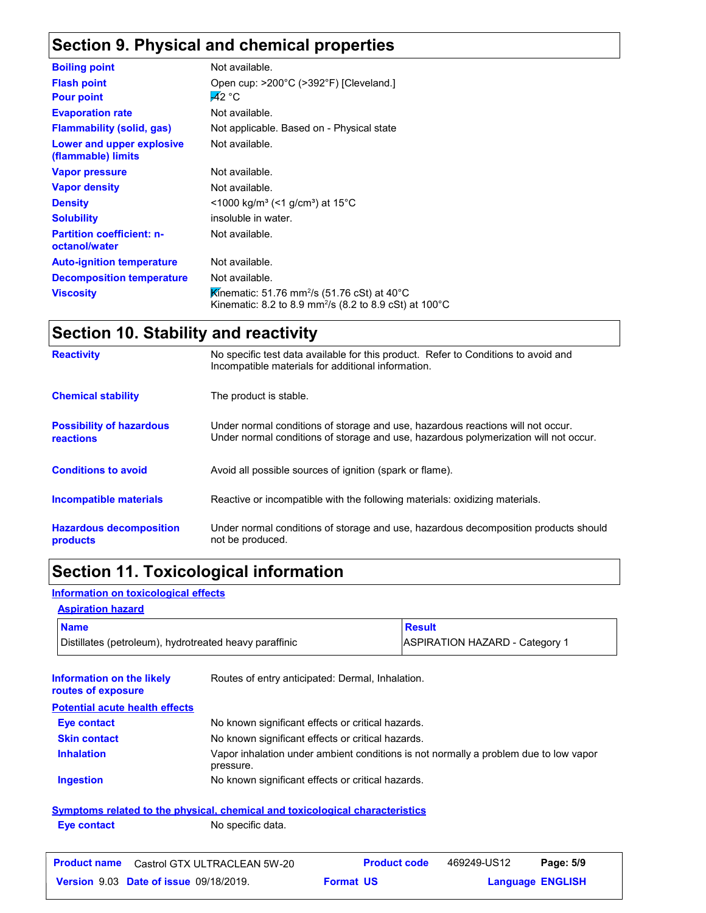## **Section 9. Physical and chemical properties**

| <b>Boiling point</b>                              | Not available.                                                                                                                              |
|---------------------------------------------------|---------------------------------------------------------------------------------------------------------------------------------------------|
| <b>Flash point</b>                                | Open cup: >200°C (>392°F) [Cleveland.]                                                                                                      |
| <b>Pour point</b>                                 | $-42 °C$                                                                                                                                    |
| <b>Evaporation rate</b>                           | Not available.                                                                                                                              |
| <b>Flammability (solid, gas)</b>                  | Not applicable. Based on - Physical state                                                                                                   |
| Lower and upper explosive<br>(flammable) limits   | Not available.                                                                                                                              |
| <b>Vapor pressure</b>                             | Not available.                                                                                                                              |
| <b>Vapor density</b>                              | Not available.                                                                                                                              |
| <b>Density</b>                                    | $\leq$ 1000 kg/m <sup>3</sup> (<1 g/cm <sup>3</sup> ) at 15 <sup>°</sup> C                                                                  |
| <b>Solubility</b>                                 | insoluble in water.                                                                                                                         |
| <b>Partition coefficient: n-</b><br>octanol/water | Not available.                                                                                                                              |
| <b>Auto-ignition temperature</b>                  | Not available.                                                                                                                              |
| <b>Decomposition temperature</b>                  | Not available.                                                                                                                              |
| <b>Viscosity</b>                                  | Kinematic: 51.76 mm <sup>2</sup> /s (51.76 cSt) at 40 <sup>°</sup> C<br>Kinematic: 8.2 to 8.9 mm <sup>2</sup> /s (8.2 to 8.9 cSt) at 100 °C |

### **Section 10. Stability and reactivity**

| <b>Reactivity</b>                                   | No specific test data available for this product. Refer to Conditions to avoid and<br>Incompatible materials for additional information.                                |
|-----------------------------------------------------|-------------------------------------------------------------------------------------------------------------------------------------------------------------------------|
| <b>Chemical stability</b>                           | The product is stable.                                                                                                                                                  |
| <b>Possibility of hazardous</b><br><b>reactions</b> | Under normal conditions of storage and use, hazardous reactions will not occur.<br>Under normal conditions of storage and use, hazardous polymerization will not occur. |
| <b>Conditions to avoid</b>                          | Avoid all possible sources of ignition (spark or flame).                                                                                                                |
| <b>Incompatible materials</b>                       | Reactive or incompatible with the following materials: oxidizing materials.                                                                                             |
| <b>Hazardous decomposition</b><br>products          | Under normal conditions of storage and use, hazardous decomposition products should<br>not be produced.                                                                 |

### **Section 11. Toxicological information**

#### **Information on toxicological effects**

### **Aspiration hazard**

| <b>Name</b>                                            | Result                                |
|--------------------------------------------------------|---------------------------------------|
| Distillates (petroleum), hydrotreated heavy paraffinic | <b>ASPIRATION HAZARD - Category 1</b> |

| Information on the likely<br>routes of exposure | Routes of entry anticipated: Dermal, Inhalation.                                                  |
|-------------------------------------------------|---------------------------------------------------------------------------------------------------|
| <b>Potential acute health effects</b>           |                                                                                                   |
| Eye contact                                     | No known significant effects or critical hazards.                                                 |
| <b>Skin contact</b>                             | No known significant effects or critical hazards.                                                 |
| <b>Inhalation</b>                               | Vapor inhalation under ambient conditions is not normally a problem due to low vapor<br>pressure. |
| <b>Ingestion</b>                                | No known significant effects or critical hazards.                                                 |
|                                                 | Symptoms related to the physical, chemical and toxicological characteristics                      |
| Eye contact                                     | No specific data.                                                                                 |

| <b>Product name</b><br>Castrol GTX ULTRACLEAN 5W-20 | <b>Product code</b> | 469249-US12 | Page: 5/9               |
|-----------------------------------------------------|---------------------|-------------|-------------------------|
| <b>Version 9.03 Date of issue 09/18/2019.</b>       | <b>Format US</b>    |             | <b>Language ENGLISH</b> |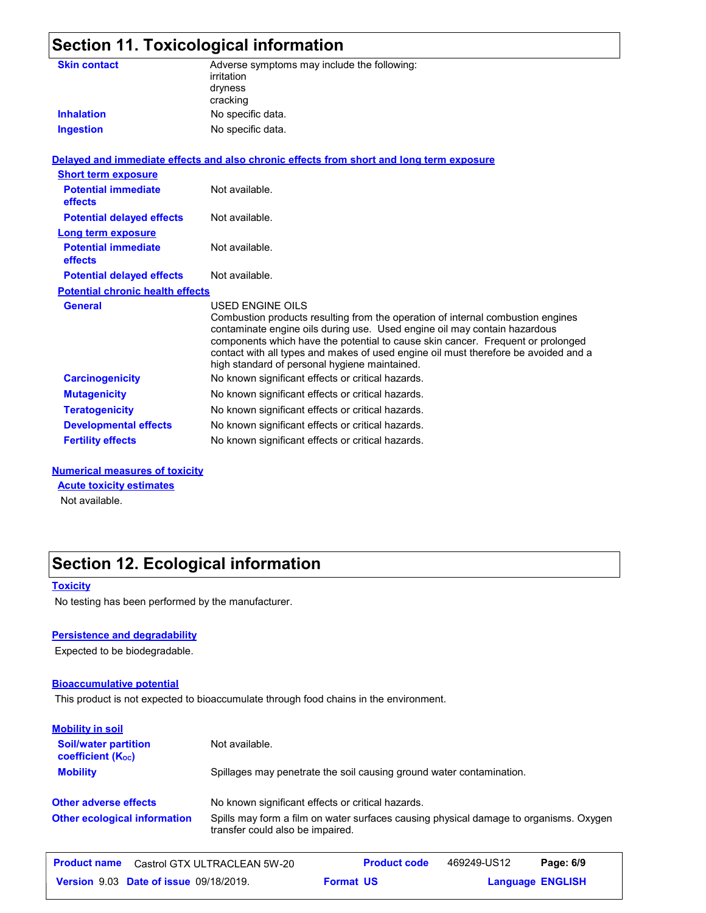|                                              | Section 11. Toxicological information                                                                                                                                                                                                                                                                                                                                                                       |
|----------------------------------------------|-------------------------------------------------------------------------------------------------------------------------------------------------------------------------------------------------------------------------------------------------------------------------------------------------------------------------------------------------------------------------------------------------------------|
| <b>Skin contact</b>                          | Adverse symptoms may include the following:<br>irritation<br>dryness<br>cracking                                                                                                                                                                                                                                                                                                                            |
| <b>Inhalation</b>                            | No specific data.                                                                                                                                                                                                                                                                                                                                                                                           |
| <b>Ingestion</b>                             | No specific data.                                                                                                                                                                                                                                                                                                                                                                                           |
|                                              | Delayed and immediate effects and also chronic effects from short and long term exposure                                                                                                                                                                                                                                                                                                                    |
| <b>Short term exposure</b>                   |                                                                                                                                                                                                                                                                                                                                                                                                             |
| <b>Potential immediate</b><br><b>effects</b> | Not available.                                                                                                                                                                                                                                                                                                                                                                                              |
| <b>Potential delayed effects</b>             | Not available.                                                                                                                                                                                                                                                                                                                                                                                              |
| <b>Long term exposure</b>                    |                                                                                                                                                                                                                                                                                                                                                                                                             |
| <b>Potential immediate</b><br>effects        | Not available.                                                                                                                                                                                                                                                                                                                                                                                              |
| <b>Potential delayed effects</b>             | Not available.                                                                                                                                                                                                                                                                                                                                                                                              |
| <b>Potential chronic health effects</b>      |                                                                                                                                                                                                                                                                                                                                                                                                             |
| <b>General</b>                               | USED ENGINE OILS<br>Combustion products resulting from the operation of internal combustion engines<br>contaminate engine oils during use. Used engine oil may contain hazardous<br>components which have the potential to cause skin cancer. Frequent or prolonged<br>contact with all types and makes of used engine oil must therefore be avoided and a<br>high standard of personal hygiene maintained. |
| <b>Carcinogenicity</b>                       | No known significant effects or critical hazards.                                                                                                                                                                                                                                                                                                                                                           |
| <b>Mutagenicity</b>                          | No known significant effects or critical hazards.                                                                                                                                                                                                                                                                                                                                                           |
| <b>Teratogenicity</b>                        | No known significant effects or critical hazards.                                                                                                                                                                                                                                                                                                                                                           |
| <b>Developmental effects</b>                 | No known significant effects or critical hazards.                                                                                                                                                                                                                                                                                                                                                           |

#### **Numerical measures of toxicity**

**Acute toxicity estimates**

Not available.

### **Section 12. Ecological information**

#### **Toxicity**

No testing has been performed by the manufacturer.

#### **Persistence and degradability**

Expected to be biodegradable.

#### **Bioaccumulative potential**

This product is not expected to bioaccumulate through food chains in the environment.

**Fertility effects** No known significant effects or critical hazards.

| <b>Mobility in soil</b>                                 |                                                                                                                           |                     |             |           |
|---------------------------------------------------------|---------------------------------------------------------------------------------------------------------------------------|---------------------|-------------|-----------|
| <b>Soil/water partition</b><br><b>coefficient (Koc)</b> | Not available.                                                                                                            |                     |             |           |
| <b>Mobility</b>                                         | Spillages may penetrate the soil causing ground water contamination.                                                      |                     |             |           |
| <b>Other adverse effects</b>                            | No known significant effects or critical hazards.                                                                         |                     |             |           |
| <b>Other ecological information</b>                     | Spills may form a film on water surfaces causing physical damage to organisms. Oxygen<br>transfer could also be impaired. |                     |             |           |
| <b>Product name</b>                                     | Castrol GTX ULTRACLEAN 5W-20                                                                                              | <b>Product code</b> | 469249-US12 | Page: 6/9 |

**Language ENGLISH** 

**Date of issue** 09/18/2019. **Format US State of Language ENGLIS Format US**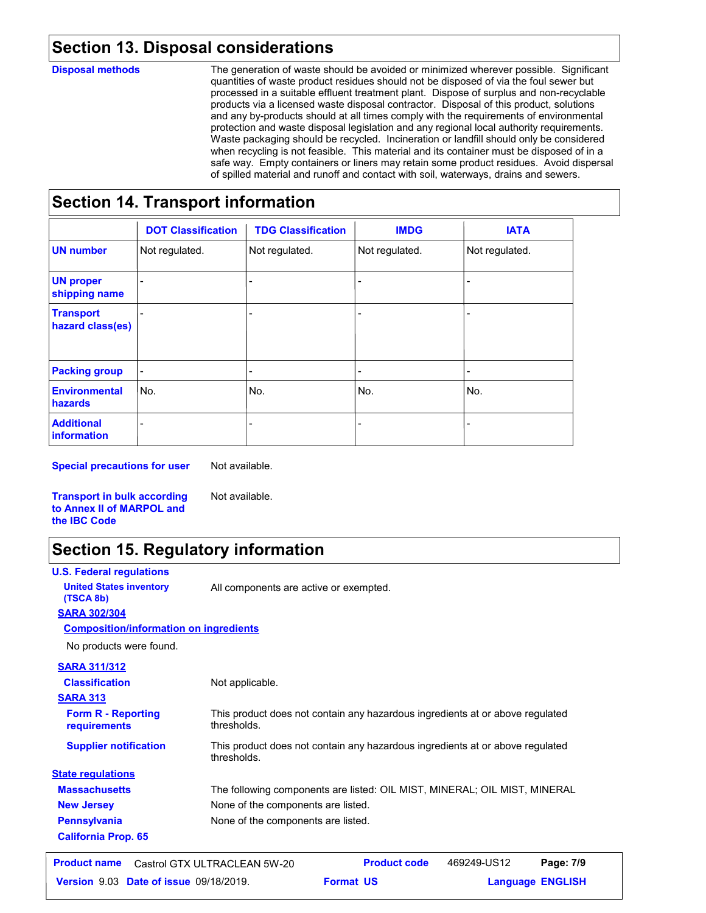#### **Section 13. Disposal considerations**

#### **Disposal methods**

The generation of waste should be avoided or minimized wherever possible. Significant quantities of waste product residues should not be disposed of via the foul sewer but processed in a suitable effluent treatment plant. Dispose of surplus and non-recyclable products via a licensed waste disposal contractor. Disposal of this product, solutions and any by-products should at all times comply with the requirements of environmental protection and waste disposal legislation and any regional local authority requirements. Waste packaging should be recycled. Incineration or landfill should only be considered when recycling is not feasible. This material and its container must be disposed of in a safe way. Empty containers or liners may retain some product residues. Avoid dispersal of spilled material and runoff and contact with soil, waterways, drains and sewers.

#### **Section 14. Transport information**

|                                      | <b>DOT Classification</b> | <b>TDG Classification</b> | <b>IMDG</b>    | <b>IATA</b>    |
|--------------------------------------|---------------------------|---------------------------|----------------|----------------|
| <b>UN number</b>                     | Not regulated.            | Not regulated.            | Not regulated. | Not regulated. |
| <b>UN proper</b><br>shipping name    |                           |                           |                |                |
| <b>Transport</b><br>hazard class(es) |                           |                           |                |                |
| <b>Packing group</b>                 |                           | $\overline{\phantom{0}}$  | $\blacksquare$ | ۰              |
| <b>Environmental</b><br>hazards      | No.                       | No.                       | No.            | No.            |
| <b>Additional</b><br>information     |                           |                           |                |                |

**Special precautions for user**

Not available.

Not available.

**Transport in bulk according to Annex II of MARPOL and the IBC Code**

### **Section 15. Regulatory information**

**U.S. Federal regulations**

**United States inventory** All components are active or exempted.

**SARA 302/304 (TSCA 8b)**

#### **Composition/information on ingredients**

No products were found.

**SARA 311/312**

| <b>Classification</b>                     | Not applicable.                                                                              |
|-------------------------------------------|----------------------------------------------------------------------------------------------|
| <b>SARA 313</b>                           |                                                                                              |
| <b>Form R - Reporting</b><br>requirements | This product does not contain any hazardous ingredients at or above regulated<br>thresholds. |
| <b>Supplier notification</b>              | This product does not contain any hazardous ingredients at or above regulated<br>thresholds. |
| <b>State regulations</b>                  |                                                                                              |
| <b>Massachusetts</b>                      | The following components are listed: OIL MIST, MINERAL; OIL MIST, MINERAL                    |
| <b>New Jersey</b>                         | None of the components are listed.                                                           |
| <b>Pennsylvania</b>                       | None of the components are listed.                                                           |
| <b>California Prop. 65</b>                |                                                                                              |

| <b>Product name</b> | Castrol GTX ULTRACLEAN 5W-20                  |                  | <b>Product code</b> | 469249-US12 | Page: 7/9               |  |
|---------------------|-----------------------------------------------|------------------|---------------------|-------------|-------------------------|--|
|                     | <b>Version 9.03 Date of issue 09/18/2019.</b> | <b>Format US</b> |                     |             | <b>Language ENGLISH</b> |  |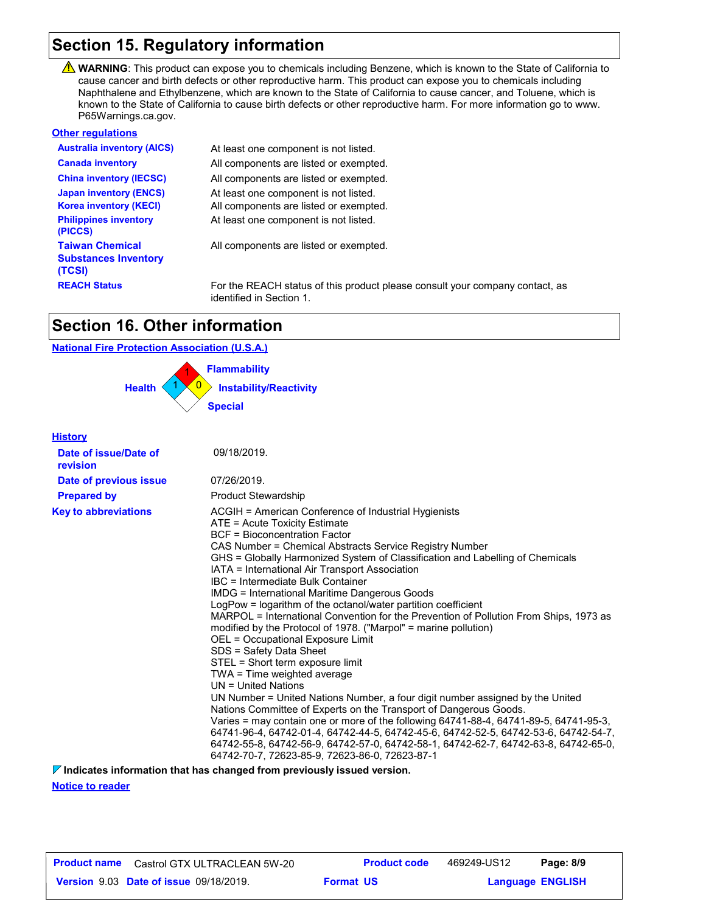### **Section 15. Regulatory information**

WARNING: This product can expose you to chemicals including Benzene, which is known to the State of California to cause cancer and birth defects or other reproductive harm. This product can expose you to chemicals including Naphthalene and Ethylbenzene, which are known to the State of California to cause cancer, and Toluene, which is known to the State of California to cause birth defects or other reproductive harm. For more information go to www. P65Warnings.ca.gov.

| <b>Other regulations</b>                                        |                                                                                                          |
|-----------------------------------------------------------------|----------------------------------------------------------------------------------------------------------|
| <b>Australia inventory (AICS)</b>                               | At least one component is not listed.                                                                    |
| <b>Canada inventory</b>                                         | All components are listed or exempted.                                                                   |
| <b>China inventory (IECSC)</b>                                  | All components are listed or exempted.                                                                   |
| <b>Japan inventory (ENCS)</b><br><b>Korea inventory (KECI)</b>  | At least one component is not listed.<br>All components are listed or exempted.                          |
| <b>Philippines inventory</b><br>(PICCS)                         | At least one component is not listed.                                                                    |
| <b>Taiwan Chemical</b><br><b>Substances Inventory</b><br>(TCSI) | All components are listed or exempted.                                                                   |
| <b>REACH Status</b>                                             | For the REACH status of this product please consult your company contact, as<br>identified in Section 1. |

### **Section 16. Other information**

#### **National Fire Protection Association (U.S.A.)**



**History**

| <u><b>HISLOTY</b></u>             |                                                                                                                                                                                                                                                                                                                                                                                                                                                                                                                                                                                                                                                                                                                                                                                                                                                                                                                                                                                                                                                                                                                                                                                                                                                                                           |
|-----------------------------------|-------------------------------------------------------------------------------------------------------------------------------------------------------------------------------------------------------------------------------------------------------------------------------------------------------------------------------------------------------------------------------------------------------------------------------------------------------------------------------------------------------------------------------------------------------------------------------------------------------------------------------------------------------------------------------------------------------------------------------------------------------------------------------------------------------------------------------------------------------------------------------------------------------------------------------------------------------------------------------------------------------------------------------------------------------------------------------------------------------------------------------------------------------------------------------------------------------------------------------------------------------------------------------------------|
| Date of issue/Date of<br>revision | 09/18/2019.                                                                                                                                                                                                                                                                                                                                                                                                                                                                                                                                                                                                                                                                                                                                                                                                                                                                                                                                                                                                                                                                                                                                                                                                                                                                               |
| Date of previous issue            | 07/26/2019.                                                                                                                                                                                                                                                                                                                                                                                                                                                                                                                                                                                                                                                                                                                                                                                                                                                                                                                                                                                                                                                                                                                                                                                                                                                                               |
| <b>Prepared by</b>                | <b>Product Stewardship</b>                                                                                                                                                                                                                                                                                                                                                                                                                                                                                                                                                                                                                                                                                                                                                                                                                                                                                                                                                                                                                                                                                                                                                                                                                                                                |
| <b>Key to abbreviations</b>       | ACGIH = American Conference of Industrial Hygienists<br>ATE = Acute Toxicity Estimate<br>BCF = Bioconcentration Factor<br>CAS Number = Chemical Abstracts Service Registry Number<br>GHS = Globally Harmonized System of Classification and Labelling of Chemicals<br>IATA = International Air Transport Association<br>IBC = Intermediate Bulk Container<br><b>IMDG = International Maritime Dangerous Goods</b><br>LogPow = logarithm of the octanol/water partition coefficient<br>MARPOL = International Convention for the Prevention of Pollution From Ships, 1973 as<br>modified by the Protocol of 1978. ("Marpol" = marine pollution)<br>OEL = Occupational Exposure Limit<br>SDS = Safety Data Sheet<br>STEL = Short term exposure limit<br>TWA = Time weighted average<br>$UN = United Nations$<br>UN Number = United Nations Number, a four digit number assigned by the United<br>Nations Committee of Experts on the Transport of Dangerous Goods.<br>Varies = may contain one or more of the following 64741-88-4, 64741-89-5, 64741-95-3,<br>64741-96-4, 64742-01-4, 64742-44-5, 64742-45-6, 64742-52-5, 64742-53-6, 64742-54-7,<br>64742-55-8, 64742-56-9, 64742-57-0, 64742-58-1, 64742-62-7, 64742-63-8, 64742-65-0,<br>64742-70-7, 72623-85-9, 72623-86-0, 72623-87-1 |
|                                   |                                                                                                                                                                                                                                                                                                                                                                                                                                                                                                                                                                                                                                                                                                                                                                                                                                                                                                                                                                                                                                                                                                                                                                                                                                                                                           |

**Indicates information that has changed from previously issued version.**

**Notice to reader**

| <b>Product name</b> | Castrol GTX ULTRACLEAN 5W-20                  | <b>Product code</b> | 469249-US12             | Page: 8/9 |
|---------------------|-----------------------------------------------|---------------------|-------------------------|-----------|
|                     | <b>Version 9.03 Date of issue 09/18/2019.</b> | <b>Format US</b>    | <b>Language ENGLISH</b> |           |